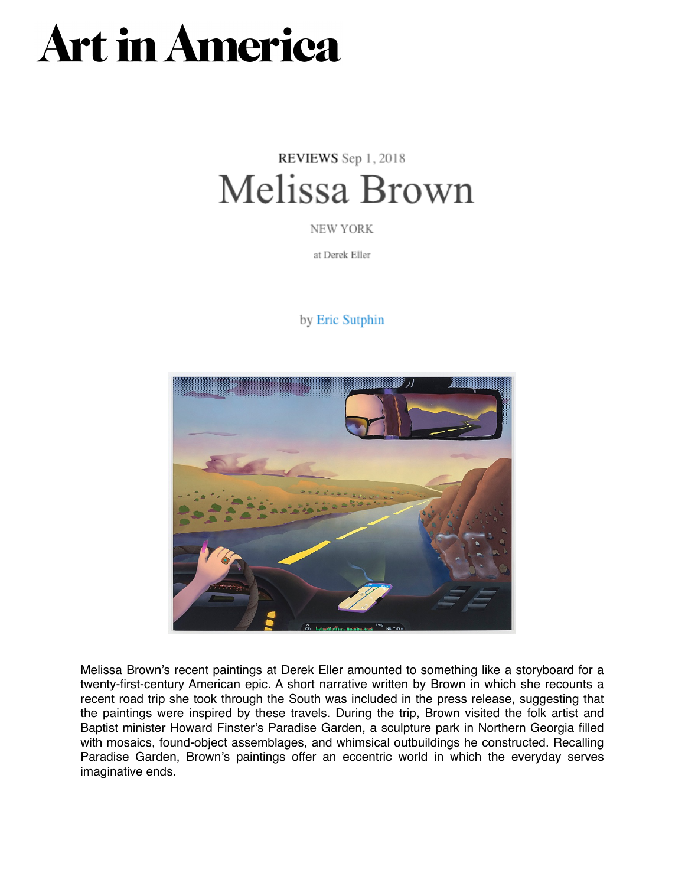## **Art in America**

## REVIEWS Sep 1, 2018 Melissa Brown

NEW YORK

at Derek Eller

## by Eric Sutphin



Melissa Brown's recent paintings at Derek Eller amounted to something like a storyboard for a twenty-first-century American epic. A short narrative written by Brown in which she recounts a recent road trip she took through the South was included in the press release, suggesting that the paintings were inspired by these travels. During the trip, Brown visited the folk artist and Baptist minister Howard Finster's Paradise Garden, a sculpture park in Northern Georgia filled with mosaics, found-object assemblages, and whimsical outbuildings he constructed. Recalling Paradise Garden, Brown's paintings offer an eccentric world in which the everyday serves imaginative ends.